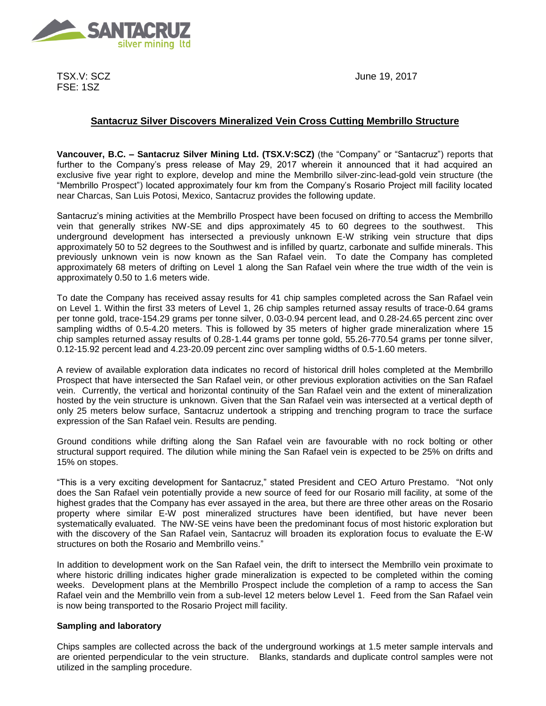

TSX.V: SCZ FSE: 1SZ

June 19, 2017

# **Santacruz Silver Discovers Mineralized Vein Cross Cutting Membrillo Structure**

**Vancouver, B.C. – Santacruz Silver Mining Ltd. (TSX.V:SCZ)** (the "Company" or "Santacruz") reports that further to the Company's press release of May 29, 2017 wherein it announced that it had acquired an exclusive five year right to explore, develop and mine the Membrillo silver-zinc-lead-gold vein structure (the "Membrillo Prospect") located approximately four km from the Company's Rosario Project mill facility located near Charcas, San Luis Potosi, Mexico, Santacruz provides the following update.

Santacruz's mining activities at the Membrillo Prospect have been focused on drifting to access the Membrillo vein that generally strikes NW-SE and dips approximately 45 to 60 degrees to the southwest. This underground development has intersected a previously unknown E-W striking vein structure that dips approximately 50 to 52 degrees to the Southwest and is infilled by quartz, carbonate and sulfide minerals. This previously unknown vein is now known as the San Rafael vein. To date the Company has completed approximately 68 meters of drifting on Level 1 along the San Rafael vein where the true width of the vein is approximately 0.50 to 1.6 meters wide.

To date the Company has received assay results for 41 chip samples completed across the San Rafael vein on Level 1. Within the first 33 meters of Level 1, 26 chip samples returned assay results of trace-0.64 grams per tonne gold, trace-154.29 grams per tonne silver, 0.03-0.94 percent lead, and 0.28-24.65 percent zinc over sampling widths of 0.5-4.20 meters. This is followed by 35 meters of higher grade mineralization where 15 chip samples returned assay results of 0.28-1.44 grams per tonne gold, 55.26-770.54 grams per tonne silver, 0.12-15.92 percent lead and 4.23-20.09 percent zinc over sampling widths of 0.5-1.60 meters.

A review of available exploration data indicates no record of historical drill holes completed at the Membrillo Prospect that have intersected the San Rafael vein, or other previous exploration activities on the San Rafael vein. Currently, the vertical and horizontal continuity of the San Rafael vein and the extent of mineralization hosted by the vein structure is unknown. Given that the San Rafael vein was intersected at a vertical depth of only 25 meters below surface, Santacruz undertook a stripping and trenching program to trace the surface expression of the San Rafael vein. Results are pending.

Ground conditions while drifting along the San Rafael vein are favourable with no rock bolting or other structural support required. The dilution while mining the San Rafael vein is expected to be 25% on drifts and 15% on stopes.

"This is a very exciting development for Santacruz," stated President and CEO Arturo Prestamo. "Not only does the San Rafael vein potentially provide a new source of feed for our Rosario mill facility, at some of the highest grades that the Company has ever assayed in the area, but there are three other areas on the Rosario property where similar E-W post mineralized structures have been identified, but have never been systematically evaluated. The NW-SE veins have been the predominant focus of most historic exploration but with the discovery of the San Rafael vein, Santacruz will broaden its exploration focus to evaluate the E-W structures on both the Rosario and Membrillo veins."

In addition to development work on the San Rafael vein, the drift to intersect the Membrillo vein proximate to where historic drilling indicates higher grade mineralization is expected to be completed within the coming weeks. Development plans at the Membrillo Prospect include the completion of a ramp to access the San Rafael vein and the Membrillo vein from a sub-level 12 meters below Level 1. Feed from the San Rafael vein is now being transported to the Rosario Project mill facility.

## **Sampling and laboratory**

Chips samples are collected across the back of the underground workings at 1.5 meter sample intervals and are oriented perpendicular to the vein structure. Blanks, standards and duplicate control samples were not utilized in the sampling procedure.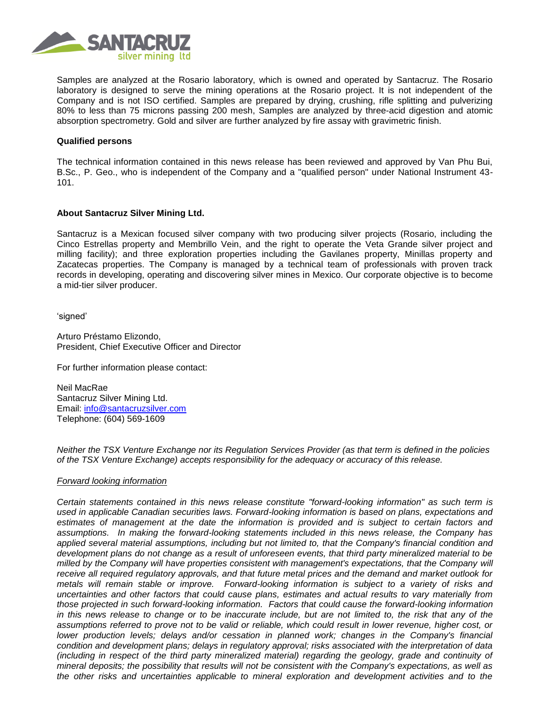

Samples are analyzed at the Rosario laboratory, which is owned and operated by Santacruz. The Rosario laboratory is designed to serve the mining operations at the Rosario project. It is not independent of the Company and is not ISO certified. Samples are prepared by drying, crushing, rifle splitting and pulverizing 80% to less than 75 microns passing 200 mesh, Samples are analyzed by three-acid digestion and atomic absorption spectrometry. Gold and silver are further analyzed by fire assay with gravimetric finish.

### **Qualified persons**

The technical information contained in this news release has been reviewed and approved by Van Phu Bui, B.Sc., P. Geo., who is independent of the Company and a "qualified person" under National Instrument 43- 101.

## **About Santacruz Silver Mining Ltd.**

Santacruz is a Mexican focused silver company with two producing silver projects (Rosario, including the Cinco Estrellas property and Membrillo Vein, and the right to operate the Veta Grande silver project and milling facility); and three exploration properties including the Gavilanes property, Minillas property and Zacatecas properties. The Company is managed by a technical team of professionals with proven track records in developing, operating and discovering silver mines in Mexico. Our corporate objective is to become a mid-tier silver producer.

'signed'

Arturo Préstamo Elizondo, President, Chief Executive Officer and Director

For further information please contact:

Neil MacRae Santacruz Silver Mining Ltd. Email: [info@santacruzsilver.com](mailto:infonmacrae@santacruzsilver.com) Telephone: (604) 569-1609

*Neither the TSX Venture Exchange nor its Regulation Services Provider (as that term is defined in the policies of the TSX Venture Exchange) accepts responsibility for the adequacy or accuracy of this release.* 

#### *Forward looking information*

*Certain statements contained in this news release constitute "forward-looking information" as such term is used in applicable Canadian securities laws. Forward-looking information is based on plans, expectations and estimates of management at the date the information is provided and is subject to certain factors and assumptions. In making the forward-looking statements included in this news release, the Company has applied several material assumptions, including but not limited to, that the Company's financial condition and development plans do not change as a result of unforeseen events, that third party mineralized material to be milled by the Company will have properties consistent with management's expectations, that the Company will receive all required regulatory approvals, and that future metal prices and the demand and market outlook for metals will remain stable or improve. Forward-looking information is subject to a variety of risks and uncertainties and other factors that could cause plans, estimates and actual results to vary materially from those projected in such forward-looking information. Factors that could cause the forward-looking information in this news release to change or to be inaccurate include, but are not limited to, the risk that any of the assumptions referred to prove not to be valid or reliable, which could result in lower revenue, higher cost, or lower production levels; delays and/or cessation in planned work; changes in the Company's financial condition and development plans; delays in regulatory approval; risks associated with the interpretation of data (including in respect of the third party mineralized material) regarding the geology, grade and continuity of mineral deposits; the possibility that results will not be consistent with the Company's expectations, as well as the other risks and uncertainties applicable to mineral exploration and development activities and to the*